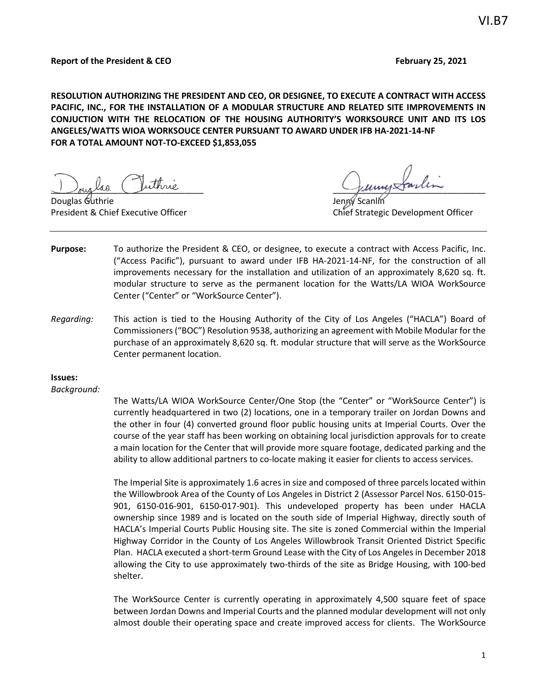#### **Report of the President & CEO February 25, 2021**

**RESOLUTION AUTHORIZING THE PRESIDENT AND CEO, OR DESIGNEE, TO EXECUTE A CONTRACT WITH ACCESS PACIFIC, INC., FOR THE INSTALLATION OF A MODULAR STRUCTURE AND RELATED SITE IMPROVEMENTS IN CONJUCTION WITH THE RELOCATION OF THE HOUSING AUTHORITY'S WORKSOURCE UNIT AND ITS LOS ANGELES/WATTS WIOA WORKSOUCE CENTER PURSUANT TO AWARD UNDER IFB HA-2021-14-NF FOR A TOTAL AMOUNT NOT-TO-EXCEED \$1,853,055**

Juiglas Crume

Douglas Guthrie

President & Chief Executive Officer Chief Strategic Development Officer

- **Purpose:** To authorize the President & CEO, or designee, to execute a contract with Access Pacific, Inc. ("Access Pacific"), pursuant to award under IFB HA-2021-14-NF, for the construction of all improvements necessary for the installation and utilization of an approximately 8,620 sq. ft. modular structure to serve as the permanent location for the Watts/LA WIOA WorkSource Center ("Center" or "WorkSource Center").
- *Regarding:* This action is tied to the Housing Authority of the City of Los Angeles ("HACLA") Board of Commissioners ("BOC") Resolution 9538, authorizing an agreement with Mobile Modular for the purchase of an approximately 8,620 sq. ft. modular structure that will serve as the WorkSource Center permanent location.

#### **Issues:**

#### *Background:*

The Watts/LA WIOA WorkSource Center/One Stop (the "Center" or "WorkSource Center") is currently headquartered in two (2) locations, one in a temporary trailer on Jordan Downs and the other in four (4) converted ground floor public housing units at Imperial Courts. Over the course of the year staff has been working on obtaining local jurisdiction approvals for to create a main location for the Center that will provide more square footage, dedicated parking and the ability to allow additional partners to co-locate making it easier for clients to access services.

The Imperial Site is approximately 1.6 acres in size and composed of three parcels located within the Willowbrook Area of the County of Los Angeles in District 2 (Assessor Parcel Nos. 6150-015- 901, 6150-016-901, 6150-017-901). This undeveloped property has been under HACLA ownership since 1989 and is located on the south side of Imperial Highway, directly south of HACLA's Imperial Courts Public Housing site. The site is zoned Commercial within the Imperial Highway Corridor in the County of Los Angeles Willowbrook Transit Oriented District Specific Plan. HACLA executed a short-term Ground Lease with the City of Los Angeles in December 2018 allowing the City to use approximately two-thirds of the site as Bridge Housing, with 100-bed shelter.

The WorkSource Center is currently operating in approximately 4,500 square feet of space between Jordan Downs and Imperial Courts and the planned modular development will not only almost double their operating space and create improved access for clients. The WorkSource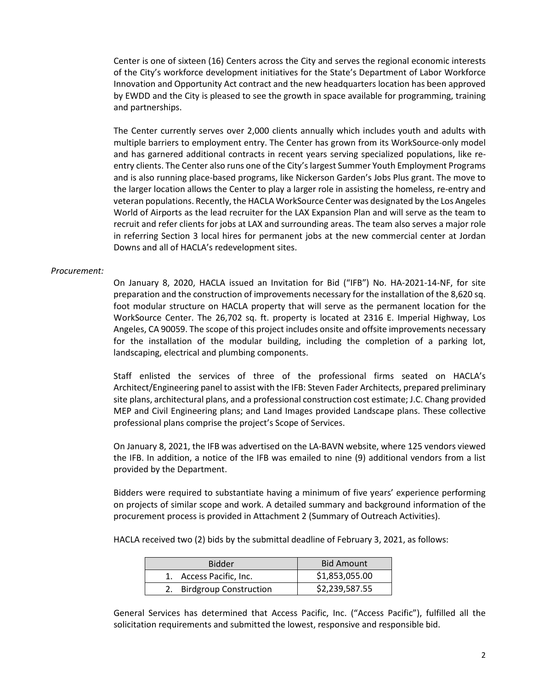Center is one of sixteen (16) Centers across the City and serves the regional economic interests of the City's workforce development initiatives for the State's Department of Labor Workforce Innovation and Opportunity Act contract and the new headquarters location has been approved by EWDD and the City is pleased to see the growth in space available for programming, training and partnerships.

The Center currently serves over 2,000 clients annually which includes youth and adults with multiple barriers to employment entry. The Center has grown from its WorkSource-only model and has garnered additional contracts in recent years serving specialized populations, like reentry clients. The Center also runs one of the City's largest Summer Youth Employment Programs and is also running place-based programs, like Nickerson Garden's Jobs Plus grant. The move to the larger location allows the Center to play a larger role in assisting the homeless, re-entry and veteran populations. Recently, the HACLA WorkSource Center was designated by the Los Angeles World of Airports as the lead recruiter for the LAX Expansion Plan and will serve as the team to recruit and refer clients for jobs at LAX and surrounding areas. The team also serves a major role in referring Section 3 local hires for permanent jobs at the new commercial center at Jordan Downs and all of HACLA's redevelopment sites.

#### *Procurement:*

On January 8, 2020, HACLA issued an Invitation for Bid ("IFB") No. HA-2021-14-NF, for site preparation and the construction of improvements necessary for the installation of the 8,620 sq. foot modular structure on HACLA property that will serve as the permanent location for the WorkSource Center. The 26,702 sq. ft. property is located at 2316 E. Imperial Highway, Los Angeles, CA 90059. The scope of this project includes onsite and offsite improvements necessary for the installation of the modular building, including the completion of a parking lot, landscaping, electrical and plumbing components.

Staff enlisted the services of three of the professional firms seated on HACLA's Architect/Engineering panel to assist with the IFB: Steven Fader Architects, prepared preliminary site plans, architectural plans, and a professional construction cost estimate; J.C. Chang provided MEP and Civil Engineering plans; and Land Images provided Landscape plans. These collective professional plans comprise the project's Scope of Services.

On January 8, 2021, the IFB was advertised on the LA-BAVN website, where 125 vendors viewed the IFB. In addition, a notice of the IFB was emailed to nine (9) additional vendors from a list provided by the Department.

Bidders were required to substantiate having a minimum of five years' experience performing on projects of similar scope and work. A detailed summary and background information of the procurement process is provided in Attachment 2 (Summary of Outreach Activities).

HACLA received two (2) bids by the submittal deadline of February 3, 2021, as follows:

| <b>Bidder</b>             | <b>Bid Amount</b> |
|---------------------------|-------------------|
| 1. Access Pacific, Inc.   | \$1,853,055.00    |
| 2. Birdgroup Construction | \$2,239,587.55    |

General Services has determined that Access Pacific, Inc. ("Access Pacific"), fulfilled all the solicitation requirements and submitted the lowest, responsive and responsible bid.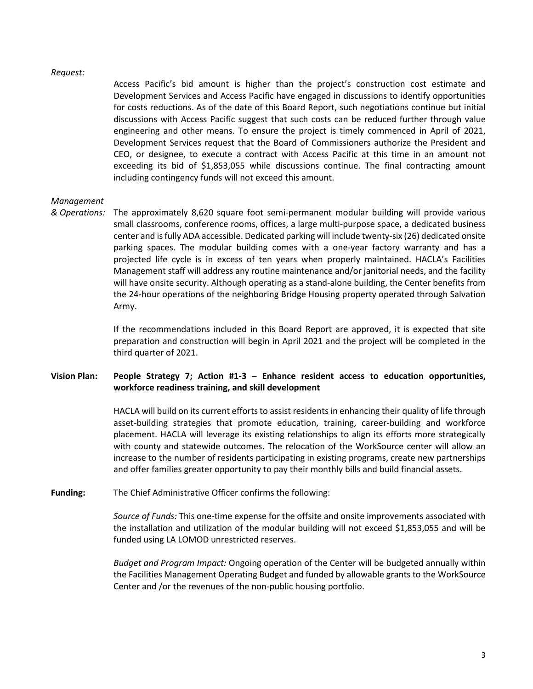#### *Request:*

Access Pacific's bid amount is higher than the project's construction cost estimate and Development Services and Access Pacific have engaged in discussions to identify opportunities for costs reductions. As of the date of this Board Report, such negotiations continue but initial discussions with Access Pacific suggest that such costs can be reduced further through value engineering and other means. To ensure the project is timely commenced in April of 2021, Development Services request that the Board of Commissioners authorize the President and CEO, or designee, to execute a contract with Access Pacific at this time in an amount not exceeding its bid of \$1,853,055 while discussions continue. The final contracting amount including contingency funds will not exceed this amount.

## *Management*

*& Operations:* The approximately 8,620 square foot semi-permanent modular building will provide various small classrooms, conference rooms, offices, a large multi-purpose space, a dedicated business center and is fully ADA accessible. Dedicated parking will include twenty-six (26) dedicated onsite parking spaces. The modular building comes with a one-year factory warranty and has a projected life cycle is in excess of ten years when properly maintained. HACLA's Facilities Management staff will address any routine maintenance and/or janitorial needs, and the facility will have onsite security. Although operating as a stand-alone building, the Center benefits from the 24-hour operations of the neighboring Bridge Housing property operated through Salvation Army.

> If the recommendations included in this Board Report are approved, it is expected that site preparation and construction will begin in April 2021 and the project will be completed in the third quarter of 2021.

# **Vision Plan: People Strategy 7; Action #1-3 – Enhance resident access to education opportunities, workforce readiness training, and skill development**

HACLA will build on its current efforts to assist residents in enhancing their quality of life through asset-building strategies that promote education, training, career-building and workforce placement. HACLA will leverage its existing relationships to align its efforts more strategically with county and statewide outcomes. The relocation of the WorkSource center will allow an increase to the number of residents participating in existing programs, create new partnerships and offer families greater opportunity to pay their monthly bills and build financial assets.

**Funding:** The Chief Administrative Officer confirms the following:

*Source of Funds:* This one-time expense for the offsite and onsite improvements associated with the installation and utilization of the modular building will not exceed \$1,853,055 and will be funded using LA LOMOD unrestricted reserves.

*Budget and Program Impact:* Ongoing operation of the Center will be budgeted annually within the Facilities Management Operating Budget and funded by allowable grants to the WorkSource Center and /or the revenues of the non-public housing portfolio.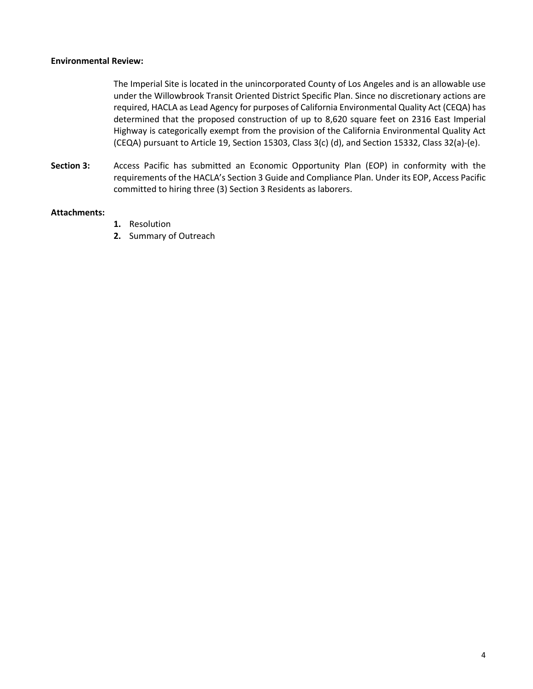## **Environmental Review:**

The Imperial Site is located in the unincorporated County of Los Angeles and is an allowable use under the Willowbrook Transit Oriented District Specific Plan. Since no discretionary actions are required, HACLA as Lead Agency for purposes of California Environmental Quality Act (CEQA) has determined that the proposed construction of up to 8,620 square feet on 2316 East Imperial Highway is categorically exempt from the provision of the California Environmental Quality Act (CEQA) pursuant to Article 19, Section 15303, Class 3(c) (d), and Section 15332, Class 32(a)-(e).

**Section 3:** Access Pacific has submitted an Economic Opportunity Plan (EOP) in conformity with the requirements of the HACLA's Section 3 Guide and Compliance Plan. Under its EOP, Access Pacific committed to hiring three (3) Section 3 Residents as laborers.

## **Attachments:**

- **1.** Resolution
- **2.** Summary of Outreach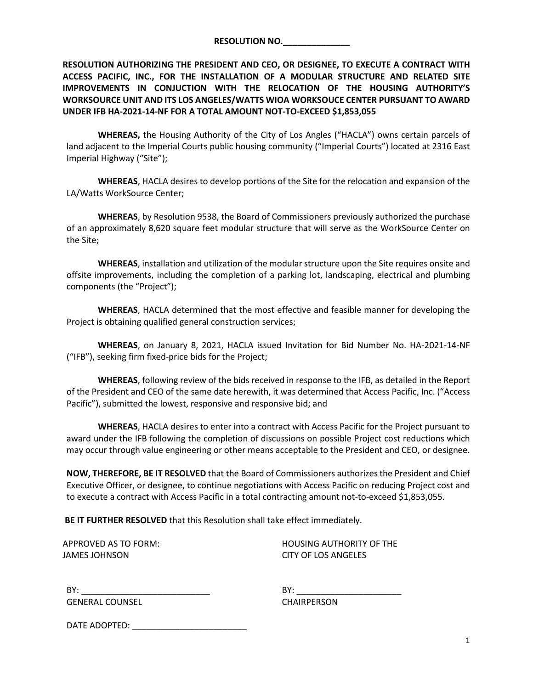| <b>RESOLUTION NO.</b> |  |
|-----------------------|--|
|                       |  |

**RESOLUTION AUTHORIZING THE PRESIDENT AND CEO, OR DESIGNEE, TO EXECUTE A CONTRACT WITH ACCESS PACIFIC, INC., FOR THE INSTALLATION OF A MODULAR STRUCTURE AND RELATED SITE IMPROVEMENTS IN CONJUCTION WITH THE RELOCATION OF THE HOUSING AUTHORITY'S WORKSOURCE UNIT AND ITS LOS ANGELES/WATTS WIOA WORKSOUCE CENTER PURSUANT TO AWARD UNDER IFB HA-2021-14-NF FOR A TOTAL AMOUNT NOT-TO-EXCEED \$1,853,055**

**WHEREAS,** the Housing Authority of the City of Los Angles ("HACLA") owns certain parcels of land adjacent to the Imperial Courts public housing community ("Imperial Courts") located at 2316 East Imperial Highway ("Site");

**WHEREAS**, HACLA desires to develop portions of the Site for the relocation and expansion of the LA/Watts WorkSource Center;

**WHEREAS**, by Resolution 9538, the Board of Commissioners previously authorized the purchase of an approximately 8,620 square feet modular structure that will serve as the WorkSource Center on the Site;

**WHEREAS**, installation and utilization of the modular structure upon the Site requires onsite and offsite improvements, including the completion of a parking lot, landscaping, electrical and plumbing components (the "Project");

**WHEREAS**, HACLA determined that the most effective and feasible manner for developing the Project is obtaining qualified general construction services;

**WHEREAS**, on January 8, 2021, HACLA issued Invitation for Bid Number No. HA-2021-14-NF ("IFB"), seeking firm fixed-price bids for the Project;

**WHEREAS**, following review of the bids received in response to the IFB, as detailed in the Report of the President and CEO of the same date herewith, it was determined that Access Pacific, Inc. ("Access Pacific"), submitted the lowest, responsive and responsive bid; and

**WHEREAS**, HACLA desires to enter into a contract with Access Pacific for the Project pursuant to award under the IFB following the completion of discussions on possible Project cost reductions which may occur through value engineering or other means acceptable to the President and CEO, or designee.

**NOW, THEREFORE, BE IT RESOLVED** that the Board of Commissioners authorizesthe President and Chief Executive Officer, or designee, to continue negotiations with Access Pacific on reducing Project cost and to execute a contract with Access Pacific in a total contracting amount not-to-exceed \$1,853,055.

**BE IT FURTHER RESOLVED** that this Resolution shall take effect immediately.

JAMES JOHNSON CITY OF LOS ANGELES

APPROVED AS TO FORM: HOUSING AUTHORITY OF THE

BY: \_\_\_\_\_\_\_\_\_\_\_\_\_\_\_\_\_\_\_\_\_\_\_\_\_\_\_ BY: \_\_\_\_\_\_\_\_\_\_\_\_\_\_\_\_\_\_\_\_\_\_ GENERAL COUNSEL CHAIRPERSON

DATE ADOPTED: \_\_\_\_\_\_\_\_\_\_\_\_\_\_\_\_\_\_\_\_\_\_\_\_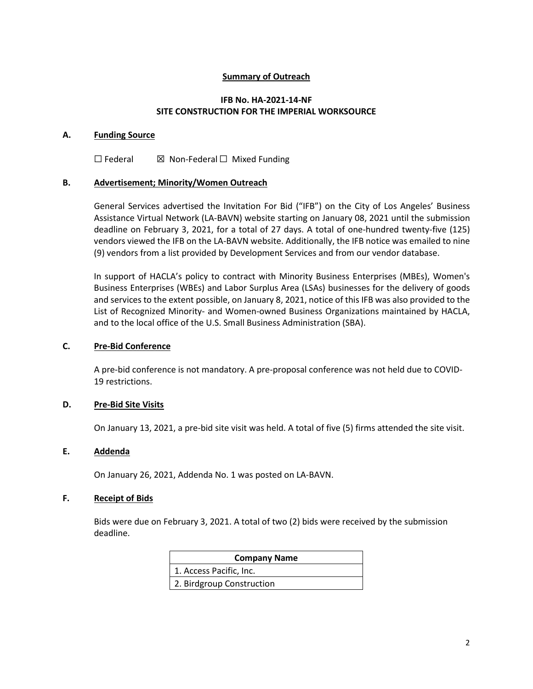# **Summary of Outreach**

# **IFB No. HA-2021-14-NF SITE CONSTRUCTION FOR THE IMPERIAL WORKSOURCE**

## **A. Funding Source**

☐ Federal ☒ Non-Federal ☐ Mixed Funding

## **B. Advertisement; Minority/Women Outreach**

General Services advertised the Invitation For Bid ("IFB") on the City of Los Angeles' Business Assistance Virtual Network (LA-BAVN) website starting on January 08, 2021 until the submission deadline on February 3, 2021, for a total of 27 days. A total of one-hundred twenty-five (125) vendors viewed the IFB on the LA-BAVN website. Additionally, the IFB notice was emailed to nine (9) vendors from a list provided by Development Services and from our vendor database.

In support of HACLA's policy to contract with Minority Business Enterprises (MBEs), Women's Business Enterprises (WBEs) and Labor Surplus Area (LSAs) businesses for the delivery of goods and services to the extent possible, on January 8, 2021, notice of this IFB was also provided to the List of Recognized Minority- and Women-owned Business Organizations maintained by HACLA, and to the local office of the U.S. Small Business Administration (SBA).

## **C. Pre-Bid Conference**

A pre-bid conference is not mandatory. A pre-proposal conference was not held due to COVID-19 restrictions.

# **D. Pre-Bid Site Visits**

On January 13, 2021, a pre-bid site visit was held. A total of five (5) firms attended the site visit.

# **E. Addenda**

On January 26, 2021, Addenda No. 1 was posted on LA-BAVN.

#### **F. Receipt of Bids**

Bids were due on February 3, 2021. A total of two (2) bids were received by the submission deadline.

| <b>Company Name</b>       |
|---------------------------|
| 1. Access Pacific, Inc.   |
| 2. Birdgroup Construction |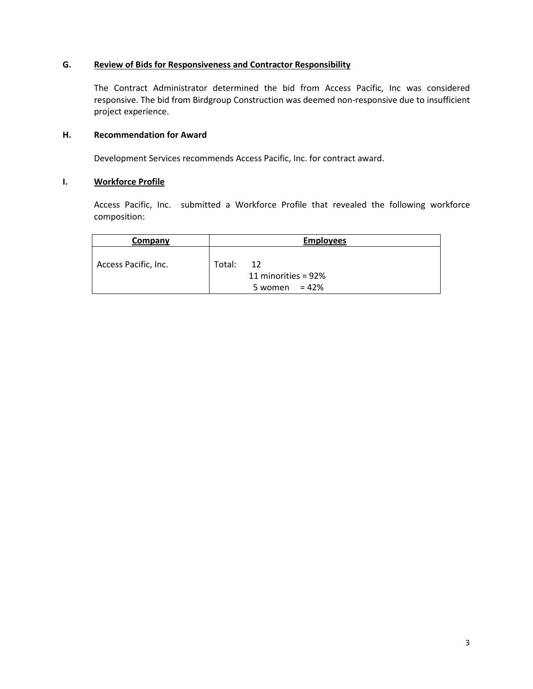# **G. Review of Bids for Responsiveness and Contractor Responsibility**

The Contract Administrator determined the bid from Access Pacific, Inc was considered responsive. The bid from Birdgroup Construction was deemed non-responsive due to insufficient project experience.

# **H. Recommendation for Award**

Development Services recommends Access Pacific, Inc. for contract award.

## **I. Workforce Profile**

Access Pacific, Inc. submitted a Workforce Profile that revealed the following workforce composition:

| Company              | <b>Employees</b>                                        |
|----------------------|---------------------------------------------------------|
| Access Pacific, Inc. | Total:<br>12<br>11 minorities = 92%<br>5 women = $42\%$ |